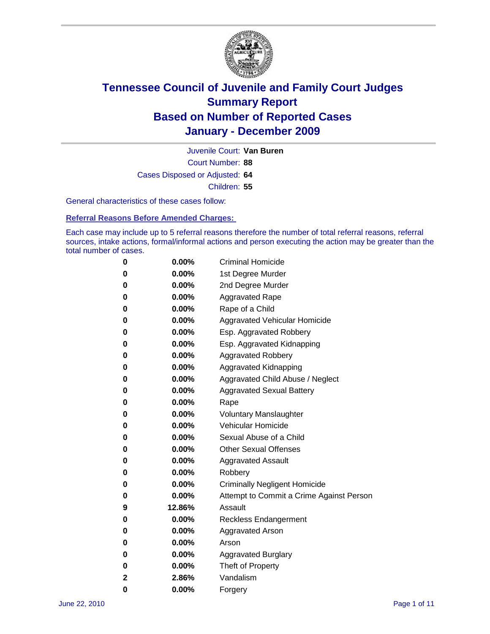

Court Number: **88** Juvenile Court: **Van Buren** Cases Disposed or Adjusted: **64** Children: **55**

General characteristics of these cases follow:

**Referral Reasons Before Amended Charges:** 

Each case may include up to 5 referral reasons therefore the number of total referral reasons, referral sources, intake actions, formal/informal actions and person executing the action may be greater than the total number of cases.

| 0 | $0.00\%$ | <b>Criminal Homicide</b>                 |
|---|----------|------------------------------------------|
| 0 | $0.00\%$ | 1st Degree Murder                        |
| 0 | $0.00\%$ | 2nd Degree Murder                        |
| 0 | $0.00\%$ | <b>Aggravated Rape</b>                   |
| 0 | $0.00\%$ | Rape of a Child                          |
| 0 | $0.00\%$ | Aggravated Vehicular Homicide            |
| 0 | $0.00\%$ | Esp. Aggravated Robbery                  |
| 0 | $0.00\%$ | Esp. Aggravated Kidnapping               |
| 0 | $0.00\%$ | <b>Aggravated Robbery</b>                |
| 0 | $0.00\%$ | Aggravated Kidnapping                    |
| 0 | $0.00\%$ | Aggravated Child Abuse / Neglect         |
| 0 | 0.00%    | <b>Aggravated Sexual Battery</b>         |
| 0 | 0.00%    | Rape                                     |
| 0 | $0.00\%$ | <b>Voluntary Manslaughter</b>            |
| 0 | $0.00\%$ | Vehicular Homicide                       |
| 0 | $0.00\%$ | Sexual Abuse of a Child                  |
| 0 | $0.00\%$ | <b>Other Sexual Offenses</b>             |
| 0 | $0.00\%$ | <b>Aggravated Assault</b>                |
| 0 | $0.00\%$ | Robbery                                  |
| 0 | $0.00\%$ | <b>Criminally Negligent Homicide</b>     |
| 0 | $0.00\%$ | Attempt to Commit a Crime Against Person |
| 9 | 12.86%   | Assault                                  |
| 0 | $0.00\%$ | <b>Reckless Endangerment</b>             |
| 0 | $0.00\%$ | <b>Aggravated Arson</b>                  |
| 0 | $0.00\%$ | Arson                                    |
| 0 | $0.00\%$ | <b>Aggravated Burglary</b>               |
| 0 | $0.00\%$ | Theft of Property                        |
| 2 | 2.86%    | Vandalism                                |
| 0 | $0.00\%$ | Forgery                                  |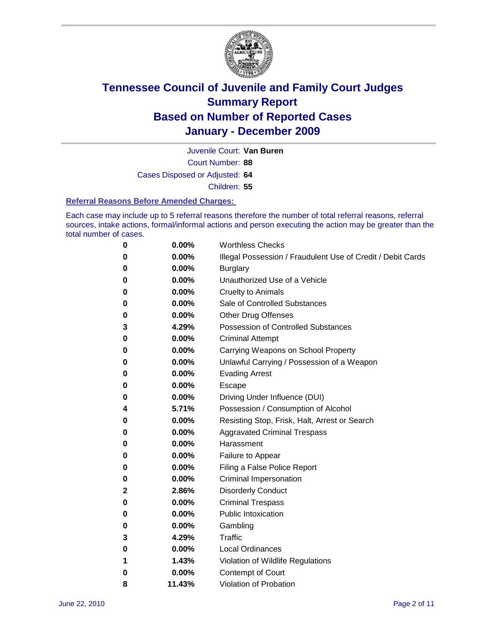

Court Number: **88** Juvenile Court: **Van Buren** Cases Disposed or Adjusted: **64** Children: **55**

#### **Referral Reasons Before Amended Charges:**

Each case may include up to 5 referral reasons therefore the number of total referral reasons, referral sources, intake actions, formal/informal actions and person executing the action may be greater than the total number of cases.

| $\bf{0}$ | 0.00%  | <b>Worthless Checks</b>                                     |
|----------|--------|-------------------------------------------------------------|
| 0        | 0.00%  | Illegal Possession / Fraudulent Use of Credit / Debit Cards |
| 0        | 0.00%  | <b>Burglary</b>                                             |
| 0        | 0.00%  | Unauthorized Use of a Vehicle                               |
| 0        | 0.00%  | <b>Cruelty to Animals</b>                                   |
| 0        | 0.00%  | Sale of Controlled Substances                               |
| 0        | 0.00%  | <b>Other Drug Offenses</b>                                  |
| 3        | 4.29%  | Possession of Controlled Substances                         |
| 0        | 0.00%  | <b>Criminal Attempt</b>                                     |
| 0        | 0.00%  | Carrying Weapons on School Property                         |
| 0        | 0.00%  | Unlawful Carrying / Possession of a Weapon                  |
| 0        | 0.00%  | <b>Evading Arrest</b>                                       |
| 0        | 0.00%  | Escape                                                      |
| 0        | 0.00%  | Driving Under Influence (DUI)                               |
| 4        | 5.71%  | Possession / Consumption of Alcohol                         |
| 0        | 0.00%  | Resisting Stop, Frisk, Halt, Arrest or Search               |
| 0        | 0.00%  | <b>Aggravated Criminal Trespass</b>                         |
| 0        | 0.00%  | Harassment                                                  |
| 0        | 0.00%  | Failure to Appear                                           |
| 0        | 0.00%  | Filing a False Police Report                                |
| 0        | 0.00%  | Criminal Impersonation                                      |
| 2        | 2.86%  | <b>Disorderly Conduct</b>                                   |
| 0        | 0.00%  | <b>Criminal Trespass</b>                                    |
| 0        | 0.00%  | <b>Public Intoxication</b>                                  |
| 0        | 0.00%  | Gambling                                                    |
| 3        | 4.29%  | Traffic                                                     |
| 0        | 0.00%  | <b>Local Ordinances</b>                                     |
| 1        | 1.43%  | Violation of Wildlife Regulations                           |
| 0        | 0.00%  | Contempt of Court                                           |
| 8        | 11.43% | Violation of Probation                                      |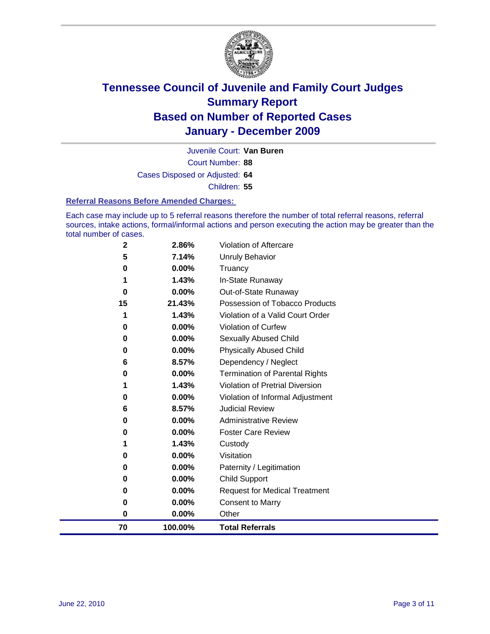

Court Number: **88** Juvenile Court: **Van Buren** Cases Disposed or Adjusted: **64** Children: **55**

#### **Referral Reasons Before Amended Charges:**

Each case may include up to 5 referral reasons therefore the number of total referral reasons, referral sources, intake actions, formal/informal actions and person executing the action may be greater than the total number of cases.

| 70          | 100.00%        | <b>Total Referrals</b>                 |
|-------------|----------------|----------------------------------------|
| $\bf{0}$    | 0.00%          | Other                                  |
| $\bf{0}$    | 0.00%          | <b>Consent to Marry</b>                |
| 0           | 0.00%          | <b>Request for Medical Treatment</b>   |
| 0           | 0.00%          | <b>Child Support</b>                   |
| 0           | 0.00%          | Paternity / Legitimation               |
| 0           | 0.00%          | Visitation                             |
| 1           | 1.43%          | Custody                                |
| 0           | 0.00%          | <b>Foster Care Review</b>              |
| 0           | 0.00%          | <b>Administrative Review</b>           |
| 6           | 8.57%          | <b>Judicial Review</b>                 |
| 0           | 0.00%          | Violation of Informal Adjustment       |
| 1           | 1.43%          | <b>Violation of Pretrial Diversion</b> |
| $\bf{0}$    | 0.00%          | Termination of Parental Rights         |
| 6           | 8.57%          | Dependency / Neglect                   |
| $\bf{0}$    | 0.00%          | <b>Physically Abused Child</b>         |
| 0           | 0.00%          | Sexually Abused Child                  |
| 0           | 0.00%          | Violation of Curfew                    |
| 1           | 1.43%          | Violation of a Valid Court Order       |
| 15          | 21.43%         | Possession of Tobacco Products         |
| $\bf{0}$    | 0.00%          | Out-of-State Runaway                   |
|             | 0.00%<br>1.43% | Truancy<br>In-State Runaway            |
| 5<br>0      | 7.14%          | Unruly Behavior                        |
| $\mathbf 2$ | 2.86%          | Violation of Aftercare                 |
|             |                |                                        |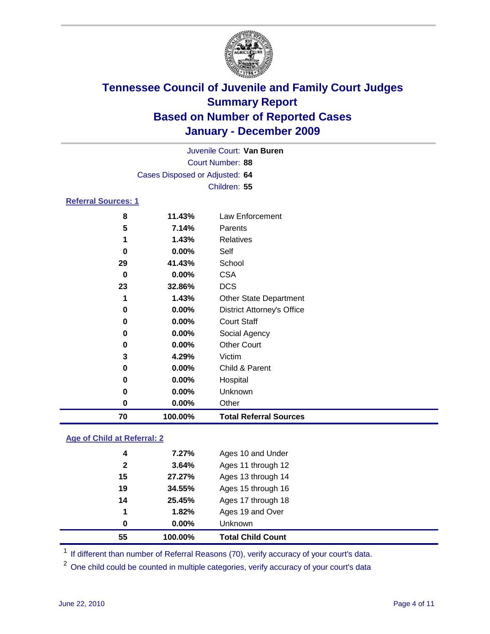

|                            | Juvenile Court: Van Buren      |                                   |  |  |  |
|----------------------------|--------------------------------|-----------------------------------|--|--|--|
|                            |                                | Court Number: 88                  |  |  |  |
|                            | Cases Disposed or Adjusted: 64 |                                   |  |  |  |
|                            | Children: 55                   |                                   |  |  |  |
| <b>Referral Sources: 1</b> |                                |                                   |  |  |  |
| 8                          | 11.43%                         | Law Enforcement                   |  |  |  |
| 5                          | 7.14%                          | Parents                           |  |  |  |
| 1                          | 1.43%                          | <b>Relatives</b>                  |  |  |  |
| 0                          | 0.00%                          | Self                              |  |  |  |
| 29                         | 41.43%                         | School                            |  |  |  |
| 0                          | 0.00%                          | <b>CSA</b>                        |  |  |  |
| 23                         | 32.86%                         | <b>DCS</b>                        |  |  |  |
| 1                          | 1.43%                          | <b>Other State Department</b>     |  |  |  |
| 0                          | 0.00%                          | <b>District Attorney's Office</b> |  |  |  |
| 0                          | 0.00%                          | <b>Court Staff</b>                |  |  |  |
| 0                          | 0.00%                          | Social Agency                     |  |  |  |
| 0                          | 0.00%                          | <b>Other Court</b>                |  |  |  |
| 3                          | 4.29%                          | Victim                            |  |  |  |
| 0                          | 0.00%                          | Child & Parent                    |  |  |  |
| 0                          | 0.00%                          | Hospital                          |  |  |  |
| $\bf{0}$                   | 0.00%                          | Unknown                           |  |  |  |
| $\bf{0}$                   | 0.00%                          | Other                             |  |  |  |
| 70                         | 100.00%                        | <b>Total Referral Sources</b>     |  |  |  |

### **Age of Child at Referral: 2**

| <b>Total Child Count</b> |
|--------------------------|
| Unknown                  |
| Ages 19 and Over         |
| Ages 17 through 18       |
| Ages 15 through 16       |
| Ages 13 through 14       |
| Ages 11 through 12       |
| Ages 10 and Under        |
|                          |

<sup>1</sup> If different than number of Referral Reasons (70), verify accuracy of your court's data.

<sup>2</sup> One child could be counted in multiple categories, verify accuracy of your court's data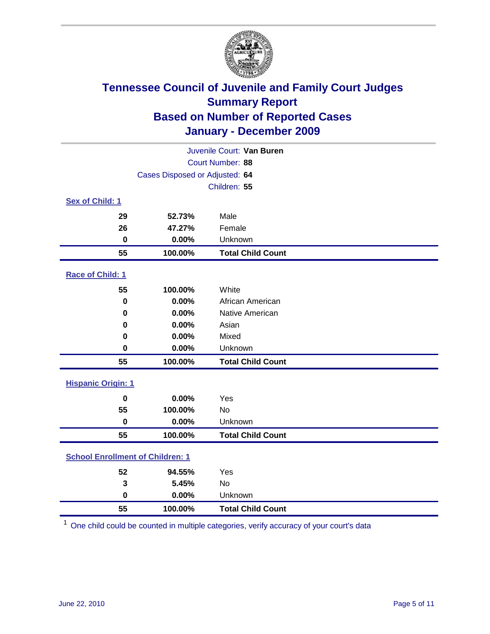

| Juvenile Court: Van Buren               |                                |                          |  |  |  |
|-----------------------------------------|--------------------------------|--------------------------|--|--|--|
|                                         | Court Number: 88               |                          |  |  |  |
|                                         | Cases Disposed or Adjusted: 64 |                          |  |  |  |
|                                         |                                | Children: 55             |  |  |  |
| Sex of Child: 1                         |                                |                          |  |  |  |
| 29                                      | 52.73%                         | Male                     |  |  |  |
| 26                                      | 47.27%                         | Female                   |  |  |  |
| $\mathbf 0$                             | 0.00%                          | Unknown                  |  |  |  |
| 55                                      | 100.00%                        | <b>Total Child Count</b> |  |  |  |
| Race of Child: 1                        |                                |                          |  |  |  |
| 55                                      | 100.00%                        | White                    |  |  |  |
| $\mathbf 0$                             | 0.00%                          | African American         |  |  |  |
| 0                                       | 0.00%                          | Native American          |  |  |  |
| 0                                       | 0.00%                          | Asian                    |  |  |  |
| 0                                       | 0.00%                          | Mixed                    |  |  |  |
| 0                                       | 0.00%                          | Unknown                  |  |  |  |
| 55                                      | 100.00%                        | <b>Total Child Count</b> |  |  |  |
| <b>Hispanic Origin: 1</b>               |                                |                          |  |  |  |
| $\mathbf 0$                             | 0.00%                          | Yes                      |  |  |  |
| 55                                      | 100.00%                        | <b>No</b>                |  |  |  |
| $\mathbf 0$                             | 0.00%                          | Unknown                  |  |  |  |
| 55                                      | 100.00%                        | <b>Total Child Count</b> |  |  |  |
| <b>School Enrollment of Children: 1</b> |                                |                          |  |  |  |
| 52                                      | 94.55%                         | Yes                      |  |  |  |
| 3                                       | 5.45%                          | No                       |  |  |  |
| $\mathbf 0$                             | 0.00%                          | Unknown                  |  |  |  |
| 55                                      | 100.00%                        | <b>Total Child Count</b> |  |  |  |

One child could be counted in multiple categories, verify accuracy of your court's data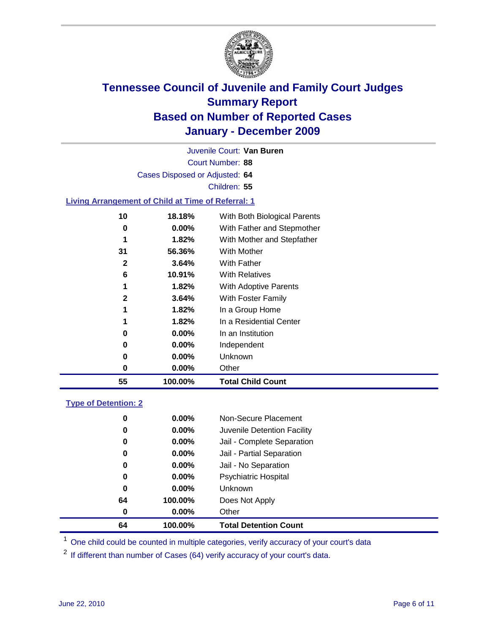

Court Number: **88** Juvenile Court: **Van Buren** Cases Disposed or Adjusted: **64** Children: **55 Living Arrangement of Child at Time of Referral: 1 18.18%** With Both Biological Parents **0.00%** With Father and Stepmother **1.82%** With Mother and Stepfather

| 55           | 100.00%  | <b>Total Child Count</b> |
|--------------|----------|--------------------------|
| 0            | $0.00\%$ | Other                    |
| 0            | $0.00\%$ | Unknown                  |
| 0            | $0.00\%$ | Independent              |
| 0            | $0.00\%$ | In an Institution        |
| 1            | 1.82%    | In a Residential Center  |
| 1            | 1.82%    | In a Group Home          |
| 2            | 3.64%    | With Foster Family       |
| 1            | 1.82%    | With Adoptive Parents    |
| 6            | 10.91%   | <b>With Relatives</b>    |
| $\mathbf{2}$ | 3.64%    | <b>With Father</b>       |
| 31           | 56.36%   | With Mother              |
|              |          |                          |

### **Type of Detention: 2**

| 64 | 100.00%  | <b>Total Detention Count</b> |  |
|----|----------|------------------------------|--|
| 0  | 0.00%    | Other                        |  |
| 64 | 100.00%  | Does Not Apply               |  |
| 0  | $0.00\%$ | <b>Unknown</b>               |  |
| 0  | $0.00\%$ | <b>Psychiatric Hospital</b>  |  |
| 0  | 0.00%    | Jail - No Separation         |  |
| 0  | $0.00\%$ | Jail - Partial Separation    |  |
| 0  | $0.00\%$ | Jail - Complete Separation   |  |
| 0  | 0.00%    | Juvenile Detention Facility  |  |
| 0  | $0.00\%$ | Non-Secure Placement         |  |
|    |          |                              |  |

<sup>1</sup> One child could be counted in multiple categories, verify accuracy of your court's data

<sup>2</sup> If different than number of Cases (64) verify accuracy of your court's data.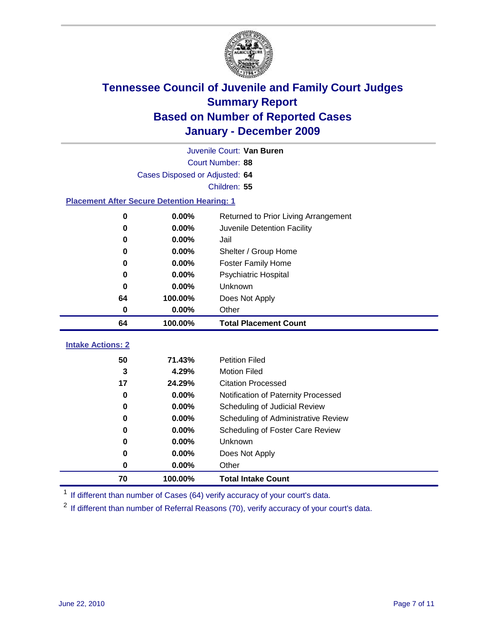

|                                                    | Juvenile Court: Van Buren      |                                      |  |  |  |
|----------------------------------------------------|--------------------------------|--------------------------------------|--|--|--|
|                                                    | Court Number: 88               |                                      |  |  |  |
|                                                    | Cases Disposed or Adjusted: 64 |                                      |  |  |  |
|                                                    |                                | Children: 55                         |  |  |  |
| <b>Placement After Secure Detention Hearing: 1</b> |                                |                                      |  |  |  |
| 0                                                  | 0.00%                          | Returned to Prior Living Arrangement |  |  |  |
| $\bf{0}$                                           | 0.00%                          | Juvenile Detention Facility          |  |  |  |
| 0                                                  | 0.00%                          | Jail                                 |  |  |  |
| $\bf{0}$                                           | 0.00%                          | Shelter / Group Home                 |  |  |  |
| 0                                                  | 0.00%                          | <b>Foster Family Home</b>            |  |  |  |
| 0                                                  | 0.00%                          | Psychiatric Hospital                 |  |  |  |
| 0                                                  | 0.00%                          | Unknown                              |  |  |  |
| 64                                                 | 100.00%                        | Does Not Apply                       |  |  |  |
| 0                                                  | 0.00%                          | Other                                |  |  |  |
| 64                                                 | 100.00%                        | <b>Total Placement Count</b>         |  |  |  |
| <b>Intake Actions: 2</b>                           |                                |                                      |  |  |  |
| 50                                                 | 71.43%                         | <b>Petition Filed</b>                |  |  |  |
| 3                                                  | 4.29%                          | <b>Motion Filed</b>                  |  |  |  |
| 17                                                 | 24.29%                         | <b>Citation Processed</b>            |  |  |  |
| 0                                                  | 0.00%                          | Notification of Paternity Processed  |  |  |  |
| $\bf{0}$                                           | 0.00%                          | Scheduling of Judicial Review        |  |  |  |
| 0                                                  | 0.00%                          | Scheduling of Administrative Review  |  |  |  |
| 0                                                  | 0.00%                          | Scheduling of Foster Care Review     |  |  |  |
| 0                                                  | 0.00%                          | Unknown                              |  |  |  |
| 0                                                  | 0.00%                          | Does Not Apply                       |  |  |  |
| $\pmb{0}$                                          | 0.00%                          | Other                                |  |  |  |
|                                                    |                                |                                      |  |  |  |
| 70                                                 | 100.00%                        | <b>Total Intake Count</b>            |  |  |  |

<sup>1</sup> If different than number of Cases (64) verify accuracy of your court's data.

<sup>2</sup> If different than number of Referral Reasons (70), verify accuracy of your court's data.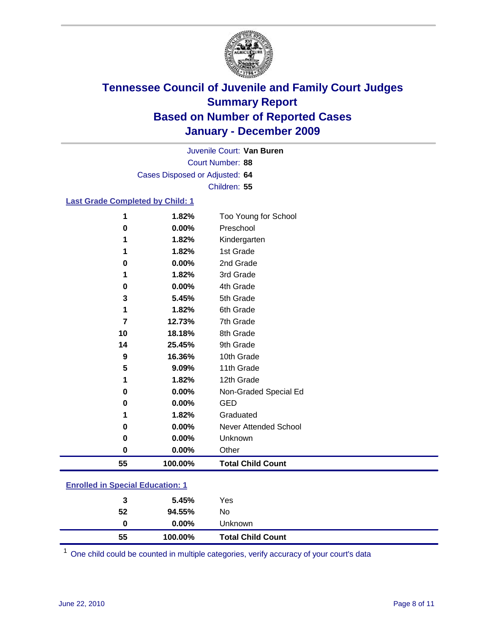

Court Number: **88** Juvenile Court: **Van Buren** Cases Disposed or Adjusted: **64** Children: **55**

### **Last Grade Completed by Child: 1**

| 55       | 100.00%        | <b>Total Child Count</b>          |  |
|----------|----------------|-----------------------------------|--|
| $\bf{0}$ | 0.00%          | Other                             |  |
| 0        | 0.00%          | Unknown                           |  |
| 0        | 0.00%          | <b>Never Attended School</b>      |  |
| 1        | 1.82%          | Graduated                         |  |
| 0        | 0.00%          | <b>GED</b>                        |  |
| 0        | 0.00%          | Non-Graded Special Ed             |  |
| 1        | 1.82%          | 12th Grade                        |  |
| 5        | 9.09%          | 11th Grade                        |  |
| 9        | 16.36%         | 10th Grade                        |  |
| 14       | 25.45%         | 9th Grade                         |  |
| 10       | 18.18%         | 8th Grade                         |  |
| 7        | 12.73%         | 7th Grade                         |  |
| 1        | 1.82%          | 6th Grade                         |  |
| 3        | 5.45%          | 5th Grade                         |  |
| 0        | 0.00%          | 4th Grade                         |  |
| 1        | 1.82%          | 3rd Grade                         |  |
| 0        | 0.00%          | 2nd Grade                         |  |
| 1        | 1.82%          | 1st Grade                         |  |
| 1        | 1.82%          | Kindergarten                      |  |
| 1<br>0   | 1.82%<br>0.00% | Too Young for School<br>Preschool |  |

#### **Enrolled in Special Education: 1**

| 55 | 100.00%  | <b>Total Child Count</b> |
|----|----------|--------------------------|
| 0  | $0.00\%$ | <b>Unknown</b>           |
| 52 | 94.55%   | No.                      |
| 3  | 5.45%    | Yes                      |
|    |          |                          |

One child could be counted in multiple categories, verify accuracy of your court's data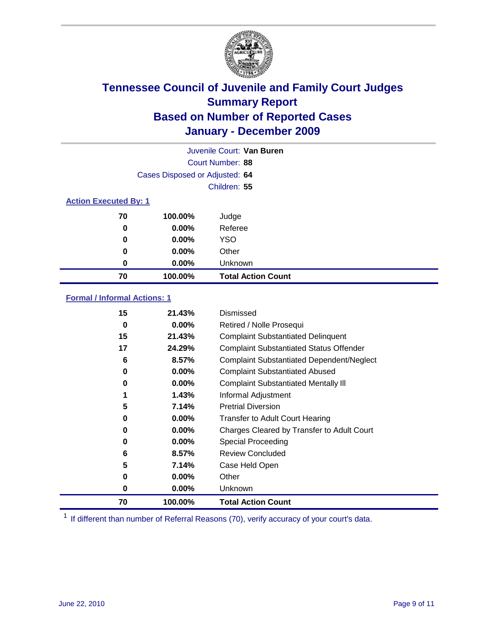

| Juvenile Court: Van Buren    |                                |                           |  |  |  |
|------------------------------|--------------------------------|---------------------------|--|--|--|
|                              | Court Number: 88               |                           |  |  |  |
|                              | Cases Disposed or Adjusted: 64 |                           |  |  |  |
|                              | Children: 55                   |                           |  |  |  |
| <b>Action Executed By: 1</b> |                                |                           |  |  |  |
| 70                           | 100.00%                        | Judge                     |  |  |  |
| 0                            | $0.00\%$                       | Referee                   |  |  |  |
| 0                            | $0.00\%$                       | <b>YSO</b>                |  |  |  |
| 0                            | 0.00%                          | Other                     |  |  |  |
| 0                            | 0.00%                          | Unknown                   |  |  |  |
| 70                           | 100.00%                        | <b>Total Action Count</b> |  |  |  |

### **Formal / Informal Actions: 1**

| 15 | 21.43%   | Dismissed                                        |
|----|----------|--------------------------------------------------|
| 0  | $0.00\%$ | Retired / Nolle Prosequi                         |
| 15 | 21.43%   | <b>Complaint Substantiated Delinquent</b>        |
| 17 | 24.29%   | <b>Complaint Substantiated Status Offender</b>   |
| 6  | 8.57%    | <b>Complaint Substantiated Dependent/Neglect</b> |
| 0  | $0.00\%$ | <b>Complaint Substantiated Abused</b>            |
| 0  | $0.00\%$ | <b>Complaint Substantiated Mentally III</b>      |
|    | 1.43%    | Informal Adjustment                              |
| 5  | 7.14%    | <b>Pretrial Diversion</b>                        |
| 0  | 0.00%    | <b>Transfer to Adult Court Hearing</b>           |
| 0  | $0.00\%$ | Charges Cleared by Transfer to Adult Court       |
| 0  | $0.00\%$ | Special Proceeding                               |
| 6  | 8.57%    | <b>Review Concluded</b>                          |
| 5  | 7.14%    | Case Held Open                                   |
| 0  | $0.00\%$ | Other                                            |
| 0  | 0.00%    | Unknown                                          |
| 70 | 100.00%  | <b>Total Action Count</b>                        |

<sup>1</sup> If different than number of Referral Reasons (70), verify accuracy of your court's data.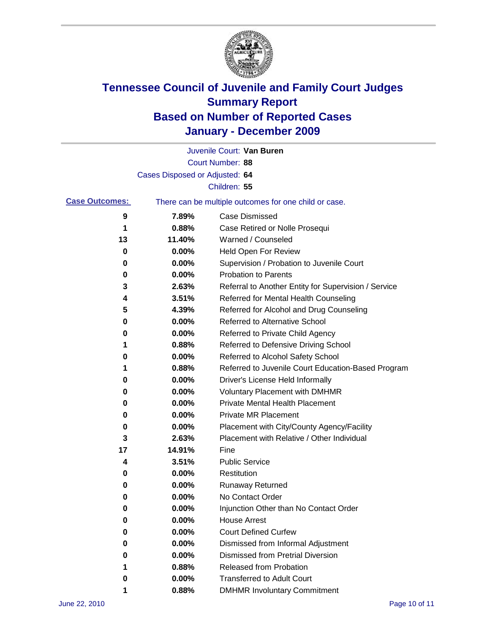

|                       |                                | Juvenile Court: Van Buren                             |
|-----------------------|--------------------------------|-------------------------------------------------------|
|                       |                                | Court Number: 88                                      |
|                       | Cases Disposed or Adjusted: 64 |                                                       |
|                       |                                | Children: 55                                          |
| <b>Case Outcomes:</b> |                                | There can be multiple outcomes for one child or case. |
| 9                     | 7.89%                          | <b>Case Dismissed</b>                                 |
| 1                     | 0.88%                          | Case Retired or Nolle Prosequi                        |
| 13                    | 11.40%                         | Warned / Counseled                                    |
| 0                     | 0.00%                          | Held Open For Review                                  |
| 0                     | 0.00%                          | Supervision / Probation to Juvenile Court             |
| 0                     | 0.00%                          | <b>Probation to Parents</b>                           |
| 3                     | 2.63%                          | Referral to Another Entity for Supervision / Service  |
| 4                     | 3.51%                          | Referred for Mental Health Counseling                 |
| 5                     | 4.39%                          | Referred for Alcohol and Drug Counseling              |
| 0                     | 0.00%                          | <b>Referred to Alternative School</b>                 |
| 0                     | 0.00%                          | Referred to Private Child Agency                      |
| 1                     | 0.88%                          | Referred to Defensive Driving School                  |
| 0                     | 0.00%                          | Referred to Alcohol Safety School                     |
| 1                     | 0.88%                          | Referred to Juvenile Court Education-Based Program    |
| 0                     | 0.00%                          | Driver's License Held Informally                      |
| 0                     | 0.00%                          | <b>Voluntary Placement with DMHMR</b>                 |
| 0                     | 0.00%                          | <b>Private Mental Health Placement</b>                |
| 0                     | 0.00%                          | <b>Private MR Placement</b>                           |
| 0                     | 0.00%                          | Placement with City/County Agency/Facility            |
| 3                     | 2.63%                          | Placement with Relative / Other Individual            |
| 17                    | 14.91%                         | Fine                                                  |
| 4                     | 3.51%                          | <b>Public Service</b>                                 |
| 0                     | 0.00%                          | Restitution                                           |
| 0                     | 0.00%                          | <b>Runaway Returned</b>                               |
| 0                     | 0.00%                          | No Contact Order                                      |
| 0                     | 0.00%                          | Injunction Other than No Contact Order                |
| 0                     | 0.00%                          | <b>House Arrest</b>                                   |
| 0                     | $0.00\%$                       | <b>Court Defined Curfew</b>                           |
| 0                     | $0.00\%$                       | Dismissed from Informal Adjustment                    |
| 0                     | $0.00\%$                       | <b>Dismissed from Pretrial Diversion</b>              |
| 1                     | 0.88%                          | <b>Released from Probation</b>                        |
| 0                     | $0.00\%$                       | <b>Transferred to Adult Court</b>                     |
| 1                     | 0.88%                          | <b>DMHMR Involuntary Commitment</b>                   |